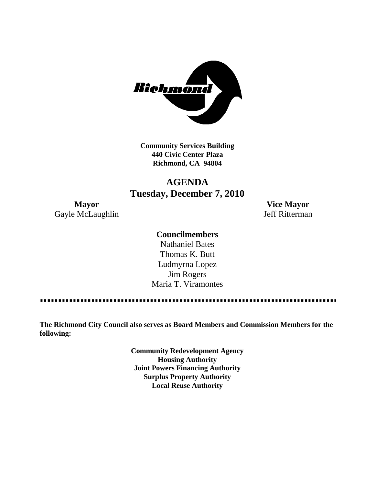

**Community Services Building 440 Civic Center Plaza Richmond, CA 94804**

# **AGENDA Tuesday, December 7, 2010**

Gayle McLaughlin Jeff Ritterman

**Mayor Vice Mayor**

# **Councilmembers**

Nathaniel Bates Thomas K. Butt Ludmyrna Lopez Jim Rogers Maria T. Viramontes

. . . . . . . . . . . . 

**The Richmond City Council also serves as Board Members and Commission Members for the following:**

> **Community Redevelopment Agency Housing Authority Joint Powers Financing Authority Surplus Property Authority Local Reuse Authority**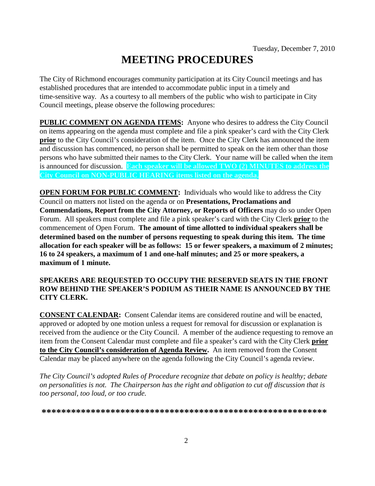# **MEETING PROCEDURES**

The City of Richmond encourages community participation at its City Council meetings and has established procedures that are intended to accommodate public input in a timely and time-sensitive way. As a courtesy to all members of the public who wish to participate in City Council meetings, please observe the following procedures:

**PUBLIC COMMENT ON AGENDA ITEMS:** Anyone who desires to address the City Council on items appearing on the agenda must complete and file a pink speaker's card with the City Clerk **prior** to the City Council's consideration of the item. Once the City Clerk has announced the item and discussion has commenced, no person shall be permitted to speak on the item other than those persons who have submitted their names to the City Clerk. Your name will be called when the item is announced for discussion. **Each speaker will be allowed TWO (2) MINUTES to address the City Council on NON-PUBLIC HEARING items listed on the agenda.**

**OPEN FORUM FOR PUBLIC COMMENT:** Individuals who would like to address the City Council on matters not listed on the agenda or on **Presentations, Proclamations and Commendations, Report from the City Attorney, or Reports of Officers** may do so under Open Forum. All speakers must complete and file a pink speaker's card with the City Clerk **prior** to the commencement of Open Forum. **The amount of time allotted to individual speakers shall be determined based on the number of persons requesting to speak during this item. The time allocation for each speaker will be as follows: 15 or fewer speakers, a maximum of 2 minutes; 16 to 24 speakers, a maximum of 1 and one-half minutes; and 25 or more speakers, a maximum of 1 minute.**

### **SPEAKERS ARE REQUESTED TO OCCUPY THE RESERVED SEATS IN THE FRONT ROW BEHIND THE SPEAKER'S PODIUM AS THEIR NAME IS ANNOUNCED BY THE CITY CLERK.**

**CONSENT CALENDAR:** Consent Calendar items are considered routine and will be enacted, approved or adopted by one motion unless a request for removal for discussion or explanation is received from the audience or the City Council. A member of the audience requesting to remove an item from the Consent Calendar must complete and file a speaker's card with the City Clerk **prior to the City Council's consideration of Agenda Review.** An item removed from the Consent Calendar may be placed anywhere on the agenda following the City Council's agenda review.

*The City Council's adopted Rules of Procedure recognize that debate on policy is healthy; debate on personalities is not. The Chairperson has the right and obligation to cut off discussion that is too personal, too loud, or too crude.*

**\*\*\*\*\*\*\*\*\*\*\*\*\*\*\*\*\*\*\*\*\*\*\*\*\*\*\*\*\*\*\*\*\*\*\*\*\*\*\*\*\*\*\*\*\*\*\*\*\*\*\*\*\*\*\*\*\*\***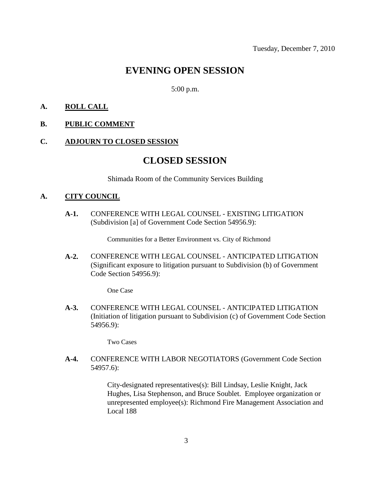# **EVENING OPEN SESSION**

5:00 p.m.

### **A. ROLL CALL**

### **B. PUBLIC COMMENT**

#### **C. ADJOURN TO CLOSED SESSION**

# **CLOSED SESSION**

Shimada Room of the Community Services Building

#### **A. CITY COUNCIL**

**A-1.** CONFERENCE WITH LEGAL COUNSEL - EXISTING LITIGATION (Subdivision [a] of Government Code Section 54956.9):

Communities for a Better Environment vs. City of Richmond

**A-2.** CONFERENCE WITH LEGAL COUNSEL - ANTICIPATED LITIGATION (Significant exposure to litigation pursuant to Subdivision (b) of Government Code Section 54956.9):

One Case

**A-3.** CONFERENCE WITH LEGAL COUNSEL - ANTICIPATED LITIGATION (Initiation of litigation pursuant to Subdivision (c) of Government Code Section 54956.9):

Two Cases

**A-4.** CONFERENCE WITH LABOR NEGOTIATORS (Government Code Section 54957.6):

> City-designated representatives(s): Bill Lindsay, Leslie Knight, Jack Hughes, Lisa Stephenson, and Bruce Soublet. Employee organization or unrepresented employee(s): Richmond Fire Management Association and Local 188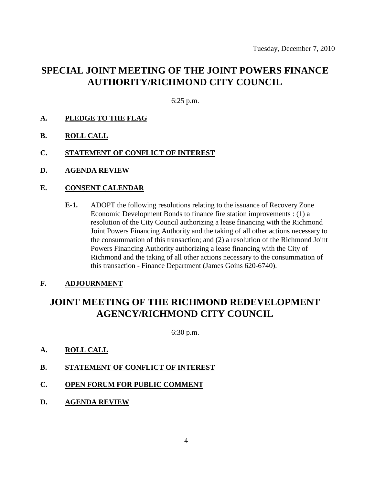# **SPECIAL JOINT MEETING OF THE JOINT POWERS FINANCE AUTHORITY/RICHMOND CITY COUNCIL**

6:25 p.m.

- **A. PLEDGE TO THE FLAG**
- **B. ROLL CALL**
- **C. STATEMENT OF CONFLICT OF INTEREST**
- **D. AGENDA REVIEW**

### **E. CONSENT CALENDAR**

**E-1.** ADOPT the following resolutions relating to the issuance of Recovery Zone Economic Development Bonds to finance fire station improvements : (1) a resolution of the City Council authorizing a lease financing with the Richmond Joint Powers Financing Authority and the taking of all other actions necessary to the consummation of this transaction; and (2) a resolution of the Richmond Joint Powers Financing Authority authorizing a lease financing with the City of Richmond and the taking of all other actions necessary to the consummation of this transaction - Finance Department (James Goins 620-6740).

### **F. ADJOURNMENT**

# **JOINT MEETING OF THE RICHMOND REDEVELOPMENT AGENCY/RICHMOND CITY COUNCIL**

6:30 p.m.

- **A. ROLL CALL**
- **B. STATEMENT OF CONFLICT OF INTEREST**
- **C. OPEN FORUM FOR PUBLIC COMMENT**
- **D. AGENDA REVIEW**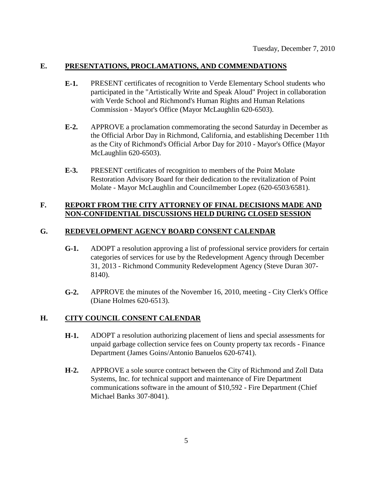### **E. PRESENTATIONS, PROCLAMATIONS, AND COMMENDATIONS**

- **E-1.** PRESENT certificates of recognition to Verde Elementary School students who participated in the "Artistically Write and Speak Aloud" Project in collaboration with Verde School and Richmond's Human Rights and Human Relations Commission - Mayor's Office (Mayor McLaughlin 620-6503).
- **E-2.** APPROVE a proclamation commemorating the second Saturday in December as the Official Arbor Day in Richmond, California, and establishing December 11th as the City of Richmond's Official Arbor Day for 2010 - Mayor's Office (Mayor McLaughlin 620-6503).
- **E-3.** PRESENT certificates of recognition to members of the Point Molate Restoration Advisory Board for their dedication to the revitalization of Point Molate - Mayor McLaughlin and Councilmember Lopez (620-6503/6581).

### **F. REPORT FROM THE CITY ATTORNEY OF FINAL DECISIONS MADE AND NON-CONFIDENTIAL DISCUSSIONS HELD DURING CLOSED SESSION**

### **G. REDEVELOPMENT AGENCY BOARD CONSENT CALENDAR**

- **G-1.** ADOPT a resolution approving a list of professional service providers for certain categories of services for use by the Redevelopment Agency through December 31, 2013 - Richmond Community Redevelopment Agency (Steve Duran 307- 8140).
- **G-2.** APPROVE the minutes of the November 16, 2010, meeting City Clerk's Office (Diane Holmes 620-6513).

### **H. CITY COUNCIL CONSENT CALENDAR**

- **H-1.** ADOPT a resolution authorizing placement of liens and special assessments for unpaid garbage collection service fees on County property tax records - Finance Department (James Goins/Antonio Banuelos 620-6741).
- **H-2.** APPROVE a sole source contract between the City of Richmond and Zoll Data Systems, Inc. for technical support and maintenance of Fire Department communications software in the amount of \$10,592 - Fire Department (Chief Michael Banks 307-8041).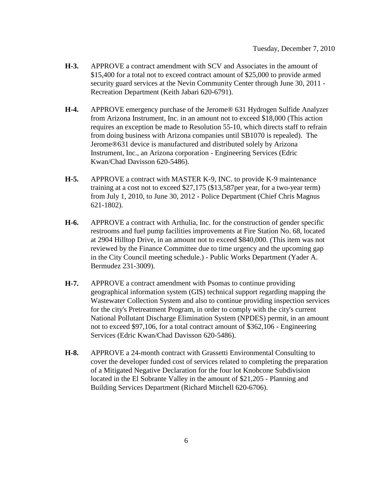- **H-3.** APPROVE a contract amendment with SCV and Associates in the amount of \$15,400 for a total not to exceed contract amount of \$25,000 to provide armed security guard services at the Nevin Community Center through June 30, 2011 - Recreation Department (Keith Jabari 620-6791).
- **H-4.** APPROVE emergency purchase of the Jerome® 631 Hydrogen Sulfide Analyzer from Arizona Instrument, Inc. in an amount not to exceed \$18,000 (This action requires an exception be made to Resolution 55-10, which directs staff to refrain from doing business with Arizona companies until SB1070 is repealed). The Jerome®631 device is manufactured and distributed solely by Arizona Instrument, Inc., an Arizona corporation - Engineering Services (Edric Kwan/Chad Davisson 620-5486).
- **H-5.** APPROVE a contract with MASTER K-9, INC. to provide K-9 maintenance training at a cost not to exceed \$27,175 (\$13,587per year, for a two-year term) from July 1, 2010, to June 30, 2012 - Police Department (Chief Chris Magnus 621-1802).
- **H-6.** APPROVE a contract with Arthulia, Inc. for the construction of gender specific restrooms and fuel pump facilities improvements at Fire Station No. 68, located at 2904 Hilltop Drive, in an amount not to exceed \$840,000. (This item was not reviewed by the Finance Committee due to time urgency and the upcoming gap in the City Council meeting schedule.) - Public Works Department (Yader A. Bermudez 231-3009).
- **H-7.** APPROVE a contract amendment with Psomas to continue providing geographical information system (GIS) technical support regarding mapping the Wastewater Collection System and also to continue providing inspection services for the city's Pretreatment Program, in order to comply with the city's current National Pollutant Discharge Elimination System (NPDES) permit, in an amount not to exceed \$97,106, for a total contract amount of \$362,106 - Engineering Services (Edric Kwan/Chad Davisson 620-5486).
- **H-8.** APPROVE a 24-month contract with Grassetti Environmental Consulting to cover the developer funded cost of services related to completing the preparation of a Mitigated Negative Declaration for the four lot Knobcone Subdivision located in the El Sobrante Valley in the amount of \$21,205 - Planning and Building Services Department (Richard Mitchell 620-6706).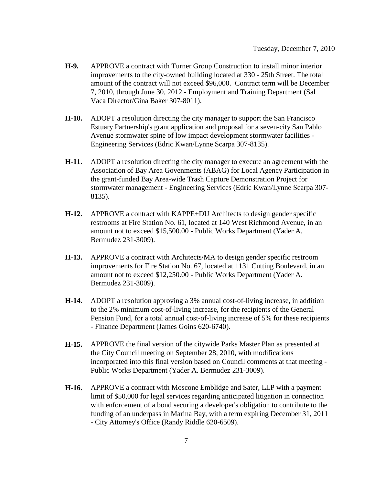- **H-9.** APPROVE a contract with Turner Group Construction to install minor interior improvements to the city-owned building located at 330 - 25th Street. The total amount of the contract will not exceed \$96,000. Contract term will be December 7, 2010, through June 30, 2012 - Employment and Training Department (Sal Vaca Director/Gina Baker 307-8011).
- **H-10.** ADOPT a resolution directing the city manager to support the San Francisco Estuary Partnership's grant application and proposal for a seven-city San Pablo Avenue stormwater spine of low impact development stormwater facilities - Engineering Services (Edric Kwan/Lynne Scarpa 307-8135).
- **H-11.** ADOPT a resolution directing the city manager to execute an agreement with the Association of Bay Area Govenments (ABAG) for Local Agency Participation in the grant-funded Bay Area-wide Trash Capture Demonstration Project for stormwater management - Engineering Services (Edric Kwan/Lynne Scarpa 307- 8135).
- **H-12.** APPROVE a contract with KAPPE+DU Architects to design gender specific restrooms at Fire Station No. 61, located at 140 West Richmond Avenue, in an amount not to exceed \$15,500.00 - Public Works Department (Yader A. Bermudez 231-3009).
- **H-13.** APPROVE a contract with Architects/MA to design gender specific restroom improvements for Fire Station No. 67, located at 1131 Cutting Boulevard, in an amount not to exceed \$12,250.00 - Public Works Department (Yader A. Bermudez 231-3009).
- **H-14.** ADOPT a resolution approving a 3% annual cost-of-living increase, in addition to the 2% minimum cost-of-living increase, for the recipients of the General Pension Fund, for a total annual cost-of-living increase of 5% for these recipients - Finance Department (James Goins 620-6740).
- **H-15.** APPROVE the final version of the citywide Parks Master Plan as presented at the City Council meeting on September 28, 2010, with modifications incorporated into this final version based on Council comments at that meeting - Public Works Department (Yader A. Bermudez 231-3009).
- **H-16.** APPROVE a contract with Moscone Emblidge and Sater, LLP with a payment limit of \$50,000 for legal services regarding anticipated litigation in connection with enforcement of a bond securing a developer's obligation to contribute to the funding of an underpass in Marina Bay, with a term expiring December 31, 2011 - City Attorney's Office (Randy Riddle 620-6509).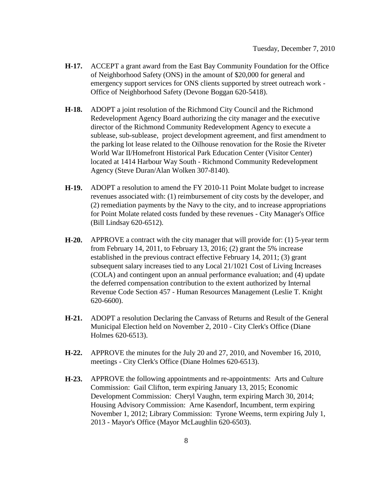- **H-17.** ACCEPT a grant award from the East Bay Community Foundation for the Office of Neighborhood Safety (ONS) in the amount of \$20,000 for general and emergency support services for ONS clients supported by street outreach work - Office of Neighborhood Safety (Devone Boggan 620-5418).
- **H-18.** ADOPT a joint resolution of the Richmond City Council and the Richmond Redevelopment Agency Board authorizing the city manager and the executive director of the Richmond Community Redevelopment Agency to execute a sublease, sub-sublease, project development agreement, and first amendment to the parking lot lease related to the Oilhouse renovation for the Rosie the Riveter World War II/Homefront Historical Park Education Center (Visitor Center) located at 1414 Harbour Way South - Richmond Community Redevelopment Agency (Steve Duran/Alan Wolken 307-8140).
- **H-19.** ADOPT a resolution to amend the FY 2010-11 Point Molate budget to increase revenues associated with: (1) reimbursement of city costs by the developer, and (2) remediation payments by the Navy to the city, and to increase appropriations for Point Molate related costs funded by these revenues - City Manager's Office (Bill Lindsay 620-6512).
- **H-20.** APPROVE a contract with the city manager that will provide for: (1) 5-year term from February 14, 2011, to February 13, 2016; (2) grant the 5% increase established in the previous contract effective February 14, 2011; (3) grant subsequent salary increases tied to any Local 21/1021 Cost of Living Increases (COLA) and contingent upon an annual performance evaluation; and (4) update the deferred compensation contribution to the extent authorized by Internal Revenue Code Section 457 - Human Resources Management (Leslie T. Knight 620-6600).
- **H-21.** ADOPT a resolution Declaring the Canvass of Returns and Result of the General Municipal Election held on November 2, 2010 - City Clerk's Office (Diane Holmes 620-6513).
- **H-22.** APPROVE the minutes for the July 20 and 27, 2010, and November 16, 2010, meetings - City Clerk's Office (Diane Holmes 620-6513).
- **H-23.** APPROVE the following appointments and re-appointments: Arts and Culture Commission: Gail Clifton, term expiring January 13, 2015; Economic Development Commission: Cheryl Vaughn, term expiring March 30, 2014; Housing Advisory Commission: Arne Kasendorf, Incumbent, term expiring November 1, 2012; Library Commission: Tyrone Weems, term expiring July 1, 2013 - Mayor's Office (Mayor McLaughlin 620-6503).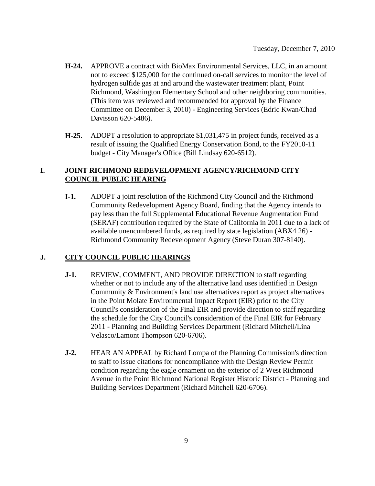- **H-24.** APPROVE a contract with BioMax Environmental Services, LLC, in an amount not to exceed \$125,000 for the continued on-call services to monitor the level of hydrogen sulfide gas at and around the wastewater treatment plant, Point Richmond, Washington Elementary School and other neighboring communities. (This item was reviewed and recommended for approval by the Finance Committee on December 3, 2010) - Engineering Services (Edric Kwan/Chad Davisson 620-5486).
- **H-25.** ADOPT a resolution to appropriate \$1,031,475 in project funds, received as a result of issuing the Qualified Energy Conservation Bond, to the FY2010-11 budget - City Manager's Office (Bill Lindsay 620-6512).

### **I. JOINT RICHMOND REDEVELOPMENT AGENCY/RICHMOND CITY COUNCIL PUBLIC HEARING**

**I-1.** ADOPT a joint resolution of the Richmond City Council and the Richmond Community Redevelopment Agency Board, finding that the Agency intends to pay less than the full Supplemental Educational Revenue Augmentation Fund (SERAF) contribution required by the State of California in 2011 due to a lack of available unencumbered funds, as required by state legislation (ABX4 26) - Richmond Community Redevelopment Agency (Steve Duran 307-8140).

### **J. CITY COUNCIL PUBLIC HEARINGS**

- **J-1.** REVIEW, COMMENT, AND PROVIDE DIRECTION to staff regarding whether or not to include any of the alternative land uses identified in Design Community & Environment's land use alternatives report as project alternatives in the Point Molate Environmental Impact Report (EIR) prior to the City Council's consideration of the Final EIR and provide direction to staff regarding the schedule for the City Council's consideration of the Final EIR for February 2011 - Planning and Building Services Department (Richard Mitchell/Lina Velasco/Lamont Thompson 620-6706).
- **J-2.** HEAR AN APPEAL by Richard Lompa of the Planning Commission's direction to staff to issue citations for noncompliance with the Design Review Permit condition regarding the eagle ornament on the exterior of 2 West Richmond Avenue in the Point Richmond National Register Historic District - Planning and Building Services Department (Richard Mitchell 620-6706).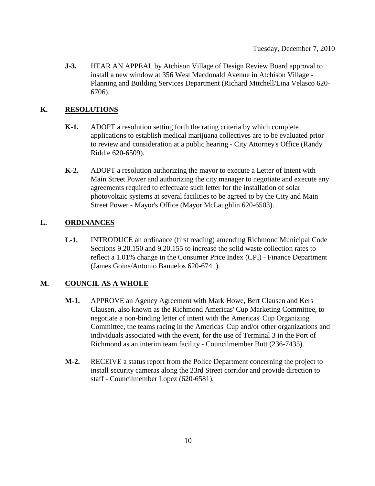**J-3.** HEAR AN APPEAL by Atchison Village of Design Review Board approval to install a new window at 356 West Macdonald Avenue in Atchison Village - Planning and Building Services Department (Richard Mitchell/Lina Velasco 620- 6706).

## **K. RESOLUTIONS**

- **K-1.** ADOPT a resolution setting forth the rating criteria by which complete applications to establish medical marijuana collectives are to be evaluated prior to review and consideration at a public hearing - City Attorney's Office (Randy Riddle 620-6509).
- **K-2.** ADOPT a resolution authorizing the mayor to execute a Letter of Intent with Main Street Power and authorizing the city manager to negotiate and execute any agreements required to effectuate such letter for the installation of solar photovoltaic systems at several facilities to be agreed to by the City and Main Street Power - Mayor's Office (Mayor McLaughlin 620-6503).

## **L. ORDINANCES**

**L-1.** INTRODUCE an ordinance (first reading) amending Richmond Municipal Code Sections 9.20.150 and 9.20.155 to increase the solid waste collection rates to reflect a 1.01% change in the Consumer Price Index (CPI) - Finance Department (James Goins/Antonio Banuelos 620-6741).

# **M. COUNCIL AS A WHOLE**

- **M-1.** APPROVE an Agency Agreement with Mark Howe, Bert Clausen and Kers Clausen, also known as the Richmond Americas' Cup Marketing Committee, to negotiate a non-binding letter of intent with the Americas' Cup Organizing Committee, the teams racing in the Americas' Cup and/or other organizations and individuals associated with the event, for the use of Terminal 3 in the Port of Richmond as an interim team facility - Councilmember Butt (236-7435).
- **M-2.** RECEIVE a status report from the Police Department concerning the project to install security cameras along the 23rd Street corridor and provide direction to staff - Councilmember Lopez (620-6581).